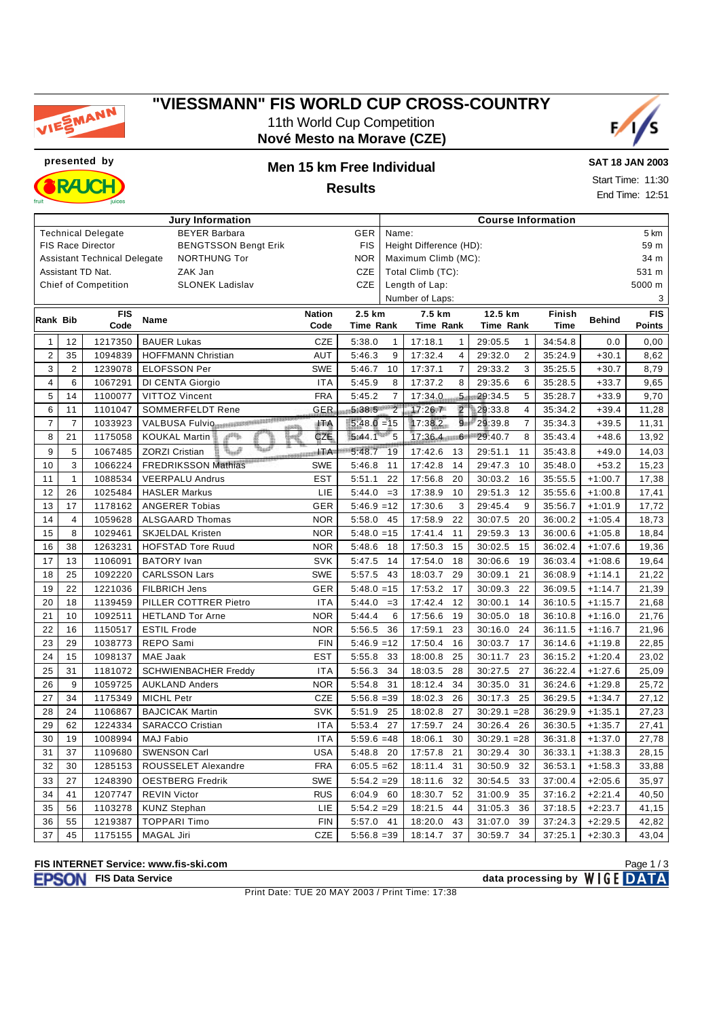

## **"VIESSMANN" FIS WORLD CUP CROSS-COUNTRY** 11th World Cup Competition

**Nové Mesto na Morave (CZE)**



**presented by Men 15 km Free Individual RAJCI** 

**SAT 18 JAN 2003**

**Results**

| Start Time: 11:30 |  |
|-------------------|--|
| End Time: 12:51   |  |

|                                                                          |                |                             | <b>Jury Information</b>     |                    | <b>Course Information</b> |                |                           |                           |             |               |               |
|--------------------------------------------------------------------------|----------------|-----------------------------|-----------------------------|--------------------|---------------------------|----------------|---------------------------|---------------------------|-------------|---------------|---------------|
|                                                                          |                | <b>Technical Delegate</b>   | <b>BEYER Barbara</b>        | <b>GER</b>         | Name:                     |                |                           |                           |             | 5 km          |               |
| <b>BENGTSSON Bengt Erik</b><br><b>FIS</b><br><b>FIS Race Director</b>    |                |                             |                             |                    |                           |                | Height Difference (HD):   |                           |             |               |               |
| <b>NOR</b><br><b>Assistant Technical Delegate</b><br><b>NORTHUNG Tor</b> |                |                             |                             |                    |                           |                | Maximum Climb (MC):       |                           |             |               |               |
|                                                                          |                | Assistant TD Nat.           | ZAK Jan                     |                    | CZE                       |                | Total Climb (TC):         |                           |             |               | 531 m         |
|                                                                          |                | <b>Chief of Competition</b> | <b>SLONEK Ladislav</b>      |                    | CZE                       |                | Length of Lap:            |                           |             |               | 5000 m        |
|                                                                          |                |                             |                             |                    |                           |                | Number of Laps:           |                           |             |               | 3             |
| Rank Bib                                                                 |                | <b>FIS</b>                  | Name                        | <b>Nation</b>      | 2.5 km                    |                | 7.5 km                    | 12.5 km                   | Finish      | <b>Behind</b> | <b>FIS</b>    |
|                                                                          |                | Code                        |                             | Code               | <b>Time Rank</b>          |                | <b>Time Rank</b>          | Time Rank                 | <b>Time</b> |               | <b>Points</b> |
| $\mathbf{1}$                                                             | 12             | 1217350                     | <b>BAUER Lukas</b>          | CZE                | 5:38.0                    | $\mathbf{1}$   | 17:18.1<br>$\mathbf{1}$   | 29:05.5<br>$\mathbf{1}$   | 34:54.8     | 0.0           | 0,00          |
| $\overline{2}$                                                           | 35             | 1094839                     | <b>HOFFMANN Christian</b>   | <b>AUT</b>         | 5:46.3                    | 9              | 17:32.4<br>$\overline{4}$ | $\overline{2}$<br>29:32.0 | 35:24.9     | $+30.1$       | 8,62          |
| 3                                                                        | $\overline{2}$ | 1239078                     | <b>ELOFSSON Per</b>         | <b>SWE</b>         | 5:46.7                    | 10             | $\overline{7}$<br>17:37.1 | 29:33.2<br>3              | 35:25.5     | $+30.7$       | 8,79          |
| $\overline{\mathbf{4}}$                                                  | 6              | 1067291                     | DI CENTA Giorgio            | <b>ITA</b>         | 5:45.9                    | 8              | 17:37.2<br>8              | 29:35.6<br>6              | 35:28.5     | $+33.7$       | 9,65          |
| 5                                                                        | 14             | 1100077                     | VITTOZ Vincent              | <b>FRA</b>         | 5:45.2                    | $\overline{7}$ | 17:34.0<br>$\overline{5}$ | 5<br>29:34.5              | 35:28.7     | $+33.9$       | 9,70          |
| 6                                                                        | 11             | 1101047                     | <b>SOMMERFELDT Rene</b>     | GER                | 5:38.5                    | $\overline{2}$ | $\overline{2}$<br>17:26.7 | 29:33.8<br>$\overline{4}$ | 35:34.2     | $+39.4$       | 11,28         |
| $\overline{7}$                                                           | $\overline{7}$ | 1033923                     | VALBUSA Fulvionnamenssammen | 評价                 | $5:48.0 = 15$             |                | $\overline{9}$<br>17:38.2 | 29:39.8<br>$\overline{7}$ | 35:34.3     | $+39.5$       | 11,31         |
| 8                                                                        | 21             | 1175058                     | dщ<br><b>KOUKAL Martin</b>  | CZE                | 5:44.1                    | 5              | $17:36.4$ 6               | 29:40.7<br>8              | 35:43.4     | $+48.6$       | 13,92         |
| 9                                                                        | 5              | 1067485                     | <b>ZORZI Cristian</b>       | <b>EXISTENTIAL</b> | 5:48.7                    | 19             | 17:42.6<br>13             | 29:51.1<br>11             | 35:43.8     | $+49.0$       | 14,03         |
| 10                                                                       | 3              | 1066224                     | <b>FREDRIKSSON Mathias</b>  | <b>SWE</b>         | 5:46.8                    | 11             | 17:42.8<br>14             | 29:47.3<br>10             | 35:48.0     | $+53.2$       | 15,23         |
| 11                                                                       | $\mathbf{1}$   | 1088534                     | <b>VEERPALU Andrus</b>      | <b>EST</b>         | 5:51.1                    | 22             | 17:56.8<br>20             | 16<br>30:03.2             | 35:55.5     | $+1:00.7$     | 17,38         |
| 12                                                                       | 26             | 1025484                     | <b>HASLER Markus</b>        | LIE                | 5:44.0                    | $=3$           | 17:38.9<br>10             | 29:51.3<br>12             | 35:55.6     | $+1:00.8$     | 17,41         |
| 13                                                                       | 17             | 1178162                     | <b>ANGERER Tobias</b>       | GER                | $5:46.9 = 12$             |                | 17:30.6<br>3              | 29:45.4<br>9              | 35:56.7     | $+1:01.9$     | 17,72         |
| 14                                                                       | 4              | 1059628                     | <b>ALSGAARD Thomas</b>      | <b>NOR</b>         | 5:58.0                    | 45             | 17:58.9<br>22             | 30:07.5<br>20             | 36:00.2     | $+1:05.4$     | 18,73         |
| 15                                                                       | 8              | 1029461                     | <b>SKJELDAL Kristen</b>     | <b>NOR</b>         | $5:48.0 = 15$             |                | 17:41.4<br>11             | 29:59.3<br>13             | 36:00.6     | $+1:05.8$     | 18,84         |
| 16                                                                       | 38             | 1263231                     | <b>HOFSTAD Tore Ruud</b>    | <b>NOR</b>         | 5:48.6                    | 18             | 17:50.3<br>15             | 15<br>30:02.5             | 36:02.4     | $+1:07.6$     | 19,36         |
| 17                                                                       | 13             | 1106091                     | <b>BATORY</b> Ivan          | <b>SVK</b>         | 5:47.5                    | 14             | 17:54.0<br>18             | 30:06.6<br>19             | 36:03.4     | $+1:08.6$     | 19,64         |
| 18                                                                       | 25             | 1092220                     | <b>CARLSSON Lars</b>        | <b>SWE</b>         | 5:57.5                    | 43             | 18:03.7<br>29             | 21<br>30:09.1             | 36:08.9     | $+1:14.1$     | 21,22         |
| 19                                                                       | 22             | 1221036                     | FILBRICH Jens               | GER                | $5:48.0 = 15$             |                | 17:53.2<br>17             | 30:09.3<br>22             | 36:09.5     | $+1:14.7$     | 21,39         |
| 20                                                                       | 18             | 1139459                     | PILLER COTTRER Pietro       | <b>ITA</b>         | 5:44.0                    | $=3$           | 17:42.4<br>12             | 30:00.1<br>14             | 36:10.5     | $+1:15.7$     | 21,68         |
| 21                                                                       | 10             | 1092511                     | <b>HETLAND Tor Arne</b>     | <b>NOR</b>         | 5:44.4                    | 6              | 17:56.6<br>19             | 18<br>30:05.0             | 36:10.8     | $+1:16.0$     | 21,76         |
| 22                                                                       | 16             | 1150517                     | <b>ESTIL Frode</b>          | <b>NOR</b>         | 5:56.5                    | 36             | 17:59.1<br>23             | 30:16.0<br>24             | 36:11.5     | $+1:16.7$     | 21,96         |
| 23                                                                       | 29             | 1038773                     | REPO Sami                   | <b>FIN</b>         | $5:46.9 = 12$             |                | 17:50.4<br>16             | 17<br>30:03.7             | 36:14.6     | $+1:19.8$     | 22,85         |
| 24                                                                       | 15             | 1098137                     | MAE Jaak                    | <b>EST</b>         | 5:55.8                    | 33             | 18:00.8<br>25             | 23<br>30:11.7             | 36:15.2     | $+1:20.4$     | 23,02         |
| 25                                                                       | 31             | 1181072                     | <b>SCHWIENBACHER Freddy</b> | <b>ITA</b>         | 5:56.3                    | 34             | 18:03.5<br>28             | 30:27.5<br>27             | 36:22.4     | $+1:27.6$     | 25,09         |
| 26                                                                       | 9              | 1059725                     | <b>AUKLAND Anders</b>       | <b>NOR</b>         | 5:54.8                    | 31             | 18:12.4<br>34             | 30:35.0<br>31             | 36:24.6     | $+1:29.8$     | 25,72         |
| 27                                                                       | 34             | 1175349                     | <b>MICHL Petr</b>           | CZE                | $5:56.8 = 39$             |                | 18:02.3<br>26             | 30:17.3<br>25             | 36:29.5     | $+1:34.7$     | 27,12         |
| 28                                                                       | 24             | 1106867                     | <b>BAJCICAK Martin</b>      | SVK                | 5:51.9                    | 25             | 18:02.8<br>27             | $30:29.1 = 28$            | 36:29.9     | $+1:35.1$     | 27,23         |
| 29                                                                       | 62             | 1224334                     | <b>SARACCO Cristian</b>     | <b>ITA</b>         | 5:53.4                    | 27             | 17:59.7<br>24             | 30:26.4<br>26             | 36:30.5     | $+1:35.7$     | 27,41         |
| 30                                                                       | 19             | 1008994                     | <b>MAJ Fabio</b>            | <b>ITA</b>         | $5:59.6 = 48$             |                | 30<br>18:06.1             | 30:29.1<br>$= 28$         | 36:31.8     | $+1:37.0$     | 27,78         |
| 31                                                                       | 37             | 1109680                     | <b>SWENSON Carl</b>         | <b>USA</b>         | 5:48.8                    | 20             | 17:57.8<br>21             | 30:29.4<br>30             | 36:33.1     | $+1:38.3$     | 28,15         |
| 32                                                                       | 30             | 1285153                     | ROUSSELET Alexandre         | <b>FRA</b>         | $6:05.5 = 62$             |                | 31<br>18:11.4             | 32<br>30:50.9             | 36:53.1     | $+1:58.3$     | 33,88         |
| 33                                                                       | 27             | 1248390                     | <b>OESTBERG Fredrik</b>     | <b>SWE</b>         | $5:54.2 = 29$             |                | 18:11.6<br>32             | 30:54.5<br>33             | 37:00.4     | $+2:05.6$     | 35,97         |
| 34                                                                       | 41             | 1207747                     | <b>REVIN Victor</b>         | <b>RUS</b>         | 6:04.9                    | 60             | 18:30.7<br>52             | 31:00.9<br>35             | 37:16.2     | $+2:21.4$     | 40,50         |
| 35                                                                       | 56             | 1103278                     | <b>KUNZ Stephan</b>         | LIE                | $5:54.2 = 29$             |                | 44<br>18:21.5             | 31:05.3<br>36             | 37:18.5     | $+2:23.7$     | 41,15         |
| 36                                                                       | 55             | 1219387                     | <b>TOPPARI Timo</b>         | <b>FIN</b>         | 5:57.0                    | 41             | 43<br>18:20.0             | 31:07.0<br>39             | 37:24.3     | $+2:29.5$     | 42,82         |
| 37                                                                       | 45             | 1175155                     | <b>MAGAL Jiri</b>           | <b>CZE</b>         | $5:56.8 = 39$             |                | 37<br>18:14.7             | 34<br>30:59.7             | 37:25.1     | $+2:30.3$     | 43,04         |

**FIS INTERNET Service: www.fis-ski.com**

Print Date: TUE 20 MAY 2003 / Print Time: 17:38

**FIS Data Service data processing by** Page 1 / 3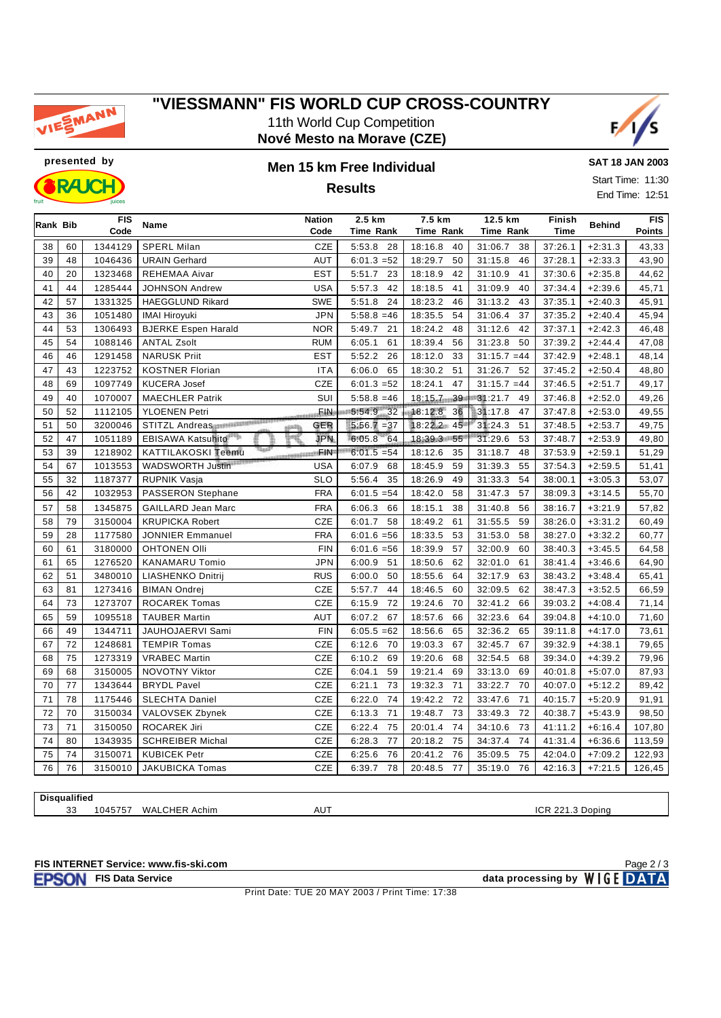

## **"VIESSMANN" FIS WORLD CUP CROSS-COUNTRY** 11th World Cup Competition

**Nové Mesto na Morave (CZE)**





## **Results**

**SAT 18 JAN 2003** Start Time: 11:30

End Time: 12:51

| Rank Bib |    | <b>FIS</b> | Name                           | <b>Nation</b>      | 2.5 km           | 7.5 km        | 12.5 km        | Finish      | <b>Behind</b> | <b>FIS</b> |
|----------|----|------------|--------------------------------|--------------------|------------------|---------------|----------------|-------------|---------------|------------|
|          |    | Code       |                                | Code               | <b>Time Rank</b> | Time Rank     | Time Rank      | <b>Time</b> |               | Points     |
| 38       | 60 | 1344129    | <b>SPERL Milan</b>             | CZE                | 5:53.8<br>28     | 18:16.8<br>40 | 31:06.7<br>38  | 37:26.1     | $+2:31.3$     | 43,33      |
| 39       | 48 | 1046436    | <b>URAIN Gerhard</b>           | <b>AUT</b>         | $6:01.3 = 52$    | 18:29.7<br>50 | 31:15.8<br>46  | 37:28.1     | $+2:33.3$     | 43,90      |
| 40       | 20 | 1323468    | <b>REHEMAA Aivar</b>           | <b>EST</b>         | 5:51.7<br>23     | 42<br>18:18.9 | 31:10.9<br>41  | 37:30.6     | $+2:35.8$     | 44,62      |
| 41       | 44 | 1285444    | <b>JOHNSON Andrew</b>          | <b>USA</b>         | 42<br>5:57.3     | 41<br>18:18.5 | 40<br>31:09.9  | 37:34.4     | $+2:39.6$     | 45,71      |
| 42       | 57 | 1331325    | <b>HAEGGLUND Rikard</b>        | <b>SWE</b>         | 5:51.8<br>24     | 18:23.2<br>46 | 31:13.2<br>43  | 37:35.1     | $+2:40.3$     | 45,91      |
| 43       | 36 | 1051480    | <b>IMAI Hiroyuki</b>           | <b>JPN</b>         | $5:58.8 = 46$    | 18:35.5<br>54 | 31:06.4<br>37  | 37:35.2     | $+2:40.4$     | 45,94      |
| 44       | 53 | 1306493    | <b>BJERKE Espen Harald</b>     | <b>NOR</b>         | 5:49.7<br>21     | 18:24.2<br>48 | 31:12.6<br>42  | 37:37.1     | $+2:42.3$     | 46,48      |
| 45       | 54 | 1088146    | <b>ANTAL Zsolt</b>             | <b>RUM</b>         | 6:05.1<br>61     | 18:39.4<br>56 | 50<br>31:23.8  | 37:39.2     | $+2:44.4$     | 47,08      |
| 46       | 46 | 1291458    | <b>NARUSK Priit</b>            | <b>EST</b>         | 5:52.2<br>26     | 33<br>18:12.0 | $31:15.7 = 44$ | 37:42.9     | $+2:48.1$     | 48,14      |
| 47       | 43 | 1223752    | <b>KOSTNER Florian</b>         | <b>ITA</b>         | 6:06.0<br>65     | 18:30.2<br>51 | 31:26.7<br>52  | 37:45.2     | $+2:50.4$     | 48,80      |
| 48       | 69 | 1097749    | <b>KUCERA Josef</b>            | CZE                | $6:01.3 = 52$    | 18:24.1<br>47 | $31:15.7 = 44$ | 37:46.5     | $+2:51.7$     | 49,17      |
| 49       | 40 | 1070007    | <b>MAECHLER Patrik</b>         | SUI                | $5:58.8 = 46$    | 18:15.7 39    | 31:21.7<br>49  | 37:46.8     | $+2:52.0$     | 49,26      |
| 50       | 52 | 1112105    | <b>YLOENEN Petri</b>           | . File             | 5:54.9 32        | 18:12.8<br>36 | 31:17.8<br>47  | 37:47.8     | $+2:53.0$     | 49,55      |
| 51       | 50 | 3200046    | STITZL Andreas<br><b>NERRS</b> | GER                | $5:56.7 = 37$    | 18:22.2 45    | 31:24.3<br>51  | 37:48.5     | $+2:53.7$     | 49,75      |
| 52       | 47 | 1051189    | EBISAWA Katsuhito              | <b>JPN</b>         | 6:05.8<br>64     | 18:39.3 55    | 31:29.6<br>53  | 37:48.7     | $+2:53.9$     | 49,80      |
| 53       | 39 | 1218902    | <b>KATTILAKOSKI Teemu</b>      | <b>SSSHIPPIFIN</b> | $6:01.5 = 54$    | 18:12.6<br>35 | 31:18.7<br>48  | 37:53.9     | $+2:59.1$     | 51,29      |
| 54       | 67 | 1013553    | WADSWORTH Justin               | <b>USA</b>         | 6:07.9<br>68     | 18:45.9<br>59 | 55<br>31:39.3  | 37:54.3     | $+2:59.5$     | 51,41      |
| 55       | 32 | 1187377    | <b>RUPNIK Vasja</b>            | <b>SLO</b>         | 5:56.4<br>35     | 18:26.9<br>49 | 31:33.3<br>54  | 38:00.1     | $+3:05.3$     | 53,07      |
| 56       | 42 | 1032953    | <b>PASSERON Stephane</b>       | <b>FRA</b>         | $6:01.5 = 54$    | 18:42.0<br>58 | 57<br>31:47.3  | 38:09.3     | $+3:14.5$     | 55,70      |
| 57       | 58 | 1345875    | <b>GAILLARD Jean Marc</b>      | <b>FRA</b>         | 6:06.3<br>66     | 18:15.1<br>38 | 31:40.8<br>56  | 38:16.7     | $+3:21.9$     | 57,82      |
| 58       | 79 | 3150004    | <b>KRUPICKA Robert</b>         | CZE                | 6:01.7<br>58     | 18:49.2<br>61 | 31:55.5<br>59  | 38:26.0     | $+3:31.2$     | 60,49      |
| 59       | 28 | 1177580    | <b>JONNIER Emmanuel</b>        | <b>FRA</b>         | $6:01.6 = 56$    | 18:33.5<br>53 | 31:53.0<br>58  | 38:27.0     | $+3:32.2$     | 60,77      |
| 60       | 61 | 3180000    | <b>OHTONEN Olli</b>            | <b>FIN</b>         | $6:01.6 = 56$    | 18:39.9<br>57 | 32:00.9<br>60  | 38:40.3     | $+3:45.5$     | 64,58      |
| 61       | 65 | 1276520    | <b>KANAMARU Tomio</b>          | <b>JPN</b>         | 6:00.9<br>51     | 62<br>18:50.6 | 61<br>32:01.0  | 38:41.4     | $+3:46.6$     | 64,90      |
| 62       | 51 | 3480010    | <b>LIASHENKO Dnitrij</b>       | <b>RUS</b>         | 50<br>6:00.0     | 18:55.6<br>64 | 63<br>32:17.9  | 38:43.2     | $+3:48.4$     | 65,41      |
| 63       | 81 | 1273416    | <b>BIMAN Ondrej</b>            | CZE                | 5:57.7<br>44     | 18:46.5<br>60 | 62<br>32:09.5  | 38:47.3     | $+3:52.5$     | 66,59      |
| 64       | 73 | 1273707    | <b>ROCAREK Tomas</b>           | <b>CZE</b>         | 6:15.9<br>72     | 19:24.6<br>70 | 32:41.2<br>66  | 39:03.2     | $+4:08.4$     | 71,14      |
| 65       | 59 | 1095518    | <b>TAUBER Martin</b>           | AUT                | 6:07.2<br>67     | 18:57.6<br>66 | 32:23.6<br>64  | 39:04.8     | $+4:10.0$     | 71,60      |
| 66       | 49 | 1344711    | JAUHOJAERVI Sami               | <b>FIN</b>         | $6:05.5 = 62$    | 18:56.6<br>65 | 65<br>32:36.2  | 39:11.8     | $+4:17.0$     | 73,61      |
| 67       | 72 | 1248681    | <b>TEMPIR Tomas</b>            | <b>CZE</b>         | 6:12.6<br>70     | 19:03.3<br>67 | 32:45.7<br>67  | 39:32.9     | $+4:38.1$     | 79,65      |
| 68       | 75 | 1273319    | <b>VRABEC Martin</b>           | CZE                | 6:10.2<br>69     | 19:20.6<br>68 | 32:54.5<br>68  | 39:34.0     | $+4:39.2$     | 79,96      |
| 69       | 68 | 3150005    | NOVOTNY Viktor                 | <b>CZE</b>         | 59<br>6:04.1     | 19:21.4<br>69 | 33:13.0<br>69  | 40:01.8     | $+5:07.0$     | 87,93      |
| 70       | 77 | 1343644    | <b>BRYDL Pavel</b>             | CZE                | 73<br>6:21.1     | 19:32.3<br>71 | 33:22.7<br>70  | 40:07.0     | $+5:12.2$     | 89,42      |
| 71       | 78 | 1175446    | <b>SLECHTA Daniel</b>          | CZE                | 74<br>6:22.0     | 72<br>19:42.2 | 71<br>33:47.6  | 40:15.7     | $+5:20.9$     | 91,91      |
| 72       | 70 | 3150034    | VALOVSEK Zbynek                | <b>CZE</b>         | 6:13.3<br>71     | 73<br>19:48.7 | 72<br>33:49.3  | 40:38.7     | $+5:43.9$     | 98,50      |
| 73       | 71 | 3150050    | <b>ROCAREK Jiri</b>            | CZE                | 6:22.4<br>75     | 74<br>20:01.4 | 73<br>34:10.6  | 41:11.2     | $+6:16.4$     | 107,80     |
| 74       | 80 | 1343935    | <b>SCHREIBER Michal</b>        | <b>CZE</b>         | 77<br>6:28.3     | 75<br>20:18.2 | 74<br>34:37.4  | 41:31.4     | $+6:36.6$     | 113,59     |
| 75       | 74 | 3150071    | <b>KUBICEK Petr</b>            | CZE                | 6:25.6<br>76     | 20:41.2<br>76 | 75<br>35:09.5  | 42:04.0     | $+7:09.2$     | 122,93     |
| 76       | 76 | 3150010    | <b>JAKUBICKA Tomas</b>         | CZE                | 6:39.7<br>78     | 20:48.5<br>77 | 35:19.0<br>76  | 42:16.3     | $+7:21.5$     | 126,45     |

**Disqualified**

1045757 WALCHER Achim AUT ICR 221.3 Doping

**FIS INTERNET Service: www.fis-ski.com**

Print Date: TUE 20 MAY 2003 / Print Time: 17:38

**FISON** FIS Data Service data processing by WIGE DATA Page 2 / 3